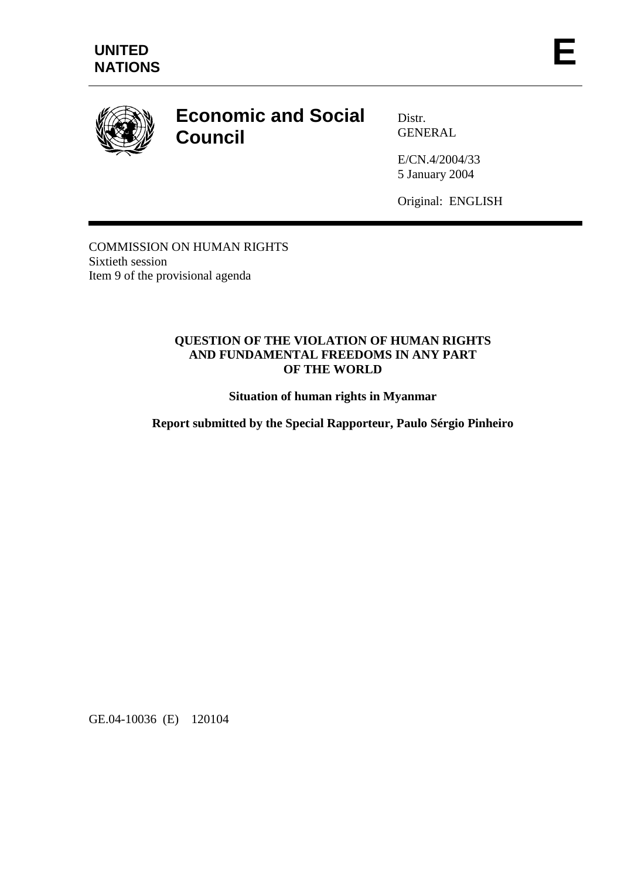

# **Economic and Social Council**

Distr. GENERAL

E/CN.4/2004/33 5 January 2004

Original: ENGLISH

COMMISSION ON HUMAN RIGHTS Sixtieth session Item 9 of the provisional agenda

#### **QUESTION OF THE VIOLATION OF HUMAN RIGHTS AND FUNDAMENTAL FREEDOMS IN ANY PART OF THE WORLD**

**Situation of human rights in Myanmar** 

**Report submitted by the Special Rapporteur, Paulo Sérgio Pinheiro** 

GE.04-10036 (E) 120104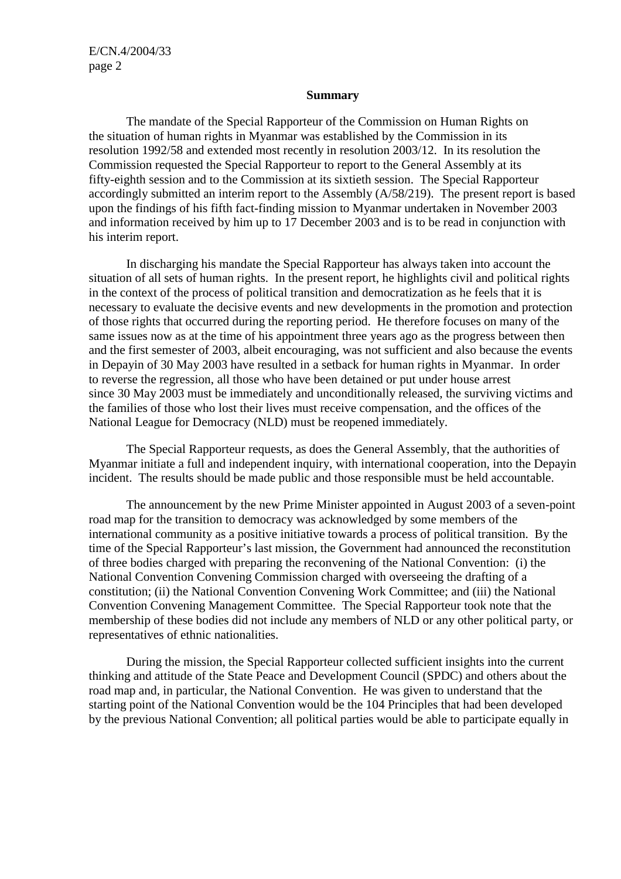#### **Summary**

 The mandate of the Special Rapporteur of the Commission on Human Rights on the situation of human rights in Myanmar was established by the Commission in its resolution 1992/58 and extended most recently in resolution 2003/12. In its resolution the Commission requested the Special Rapporteur to report to the General Assembly at its fifty-eighth session and to the Commission at its sixtieth session. The Special Rapporteur accordingly submitted an interim report to the Assembly (A/58/219). The present report is based upon the findings of his fifth fact-finding mission to Myanmar undertaken in November 2003 and information received by him up to 17 December 2003 and is to be read in conjunction with his interim report.

 In discharging his mandate the Special Rapporteur has always taken into account the situation of all sets of human rights. In the present report, he highlights civil and political rights in the context of the process of political transition and democratization as he feels that it is necessary to evaluate the decisive events and new developments in the promotion and protection of those rights that occurred during the reporting period. He therefore focuses on many of the same issues now as at the time of his appointment three years ago as the progress between then and the first semester of 2003, albeit encouraging, was not sufficient and also because the events in Depayin of 30 May 2003 have resulted in a setback for human rights in Myanmar. In order to reverse the regression, all those who have been detained or put under house arrest since 30 May 2003 must be immediately and unconditionally released, the surviving victims and the families of those who lost their lives must receive compensation, and the offices of the National League for Democracy (NLD) must be reopened immediately.

 The Special Rapporteur requests, as does the General Assembly, that the authorities of Myanmar initiate a full and independent inquiry, with international cooperation, into the Depayin incident. The results should be made public and those responsible must be held accountable.

 The announcement by the new Prime Minister appointed in August 2003 of a seven-point road map for the transition to democracy was acknowledged by some members of the international community as a positive initiative towards a process of political transition. By the time of the Special Rapporteur's last mission, the Government had announced the reconstitution of three bodies charged with preparing the reconvening of the National Convention: (i) the National Convention Convening Commission charged with overseeing the drafting of a constitution; (ii) the National Convention Convening Work Committee; and (iii) the National Convention Convening Management Committee. The Special Rapporteur took note that the membership of these bodies did not include any members of NLD or any other political party, or representatives of ethnic nationalities.

 During the mission, the Special Rapporteur collected sufficient insights into the current thinking and attitude of the State Peace and Development Council (SPDC) and others about the road map and, in particular, the National Convention. He was given to understand that the starting point of the National Convention would be the 104 Principles that had been developed by the previous National Convention; all political parties would be able to participate equally in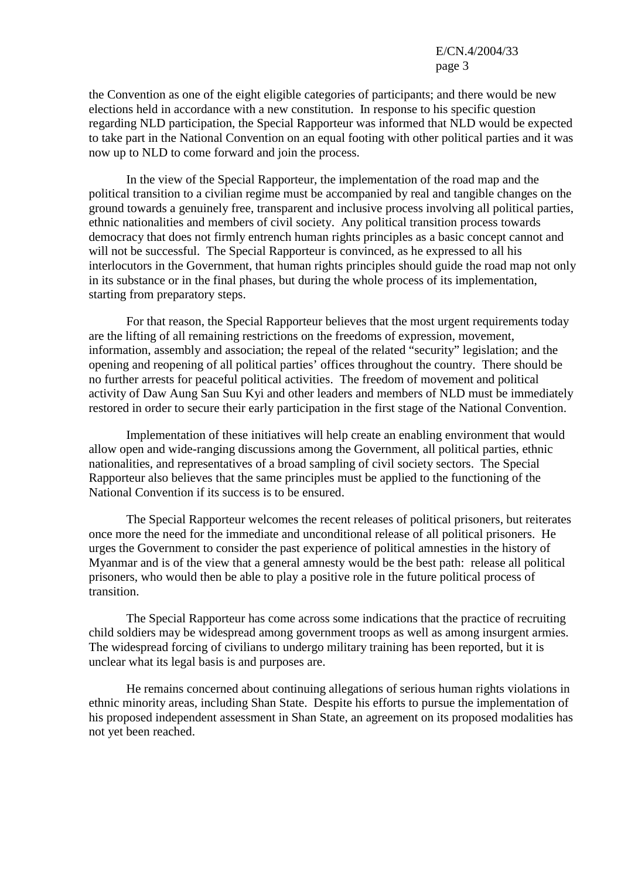the Convention as one of the eight eligible categories of participants; and there would be new elections held in accordance with a new constitution. In response to his specific question regarding NLD participation, the Special Rapporteur was informed that NLD would be expected to take part in the National Convention on an equal footing with other political parties and it was now up to NLD to come forward and join the process.

 In the view of the Special Rapporteur, the implementation of the road map and the political transition to a civilian regime must be accompanied by real and tangible changes on the ground towards a genuinely free, transparent and inclusive process involving all political parties, ethnic nationalities and members of civil society. Any political transition process towards democracy that does not firmly entrench human rights principles as a basic concept cannot and will not be successful. The Special Rapporteur is convinced, as he expressed to all his interlocutors in the Government, that human rights principles should guide the road map not only in its substance or in the final phases, but during the whole process of its implementation, starting from preparatory steps.

 For that reason, the Special Rapporteur believes that the most urgent requirements today are the lifting of all remaining restrictions on the freedoms of expression, movement, information, assembly and association; the repeal of the related "security" legislation; and the opening and reopening of all political parties' offices throughout the country. There should be no further arrests for peaceful political activities. The freedom of movement and political activity of Daw Aung San Suu Kyi and other leaders and members of NLD must be immediately restored in order to secure their early participation in the first stage of the National Convention.

 Implementation of these initiatives will help create an enabling environment that would allow open and wide-ranging discussions among the Government, all political parties, ethnic nationalities, and representatives of a broad sampling of civil society sectors. The Special Rapporteur also believes that the same principles must be applied to the functioning of the National Convention if its success is to be ensured.

 The Special Rapporteur welcomes the recent releases of political prisoners, but reiterates once more the need for the immediate and unconditional release of all political prisoners. He urges the Government to consider the past experience of political amnesties in the history of Myanmar and is of the view that a general amnesty would be the best path: release all political prisoners, who would then be able to play a positive role in the future political process of transition.

 The Special Rapporteur has come across some indications that the practice of recruiting child soldiers may be widespread among government troops as well as among insurgent armies. The widespread forcing of civilians to undergo military training has been reported, but it is unclear what its legal basis is and purposes are.

 He remains concerned about continuing allegations of serious human rights violations in ethnic minority areas, including Shan State. Despite his efforts to pursue the implementation of his proposed independent assessment in Shan State, an agreement on its proposed modalities has not yet been reached.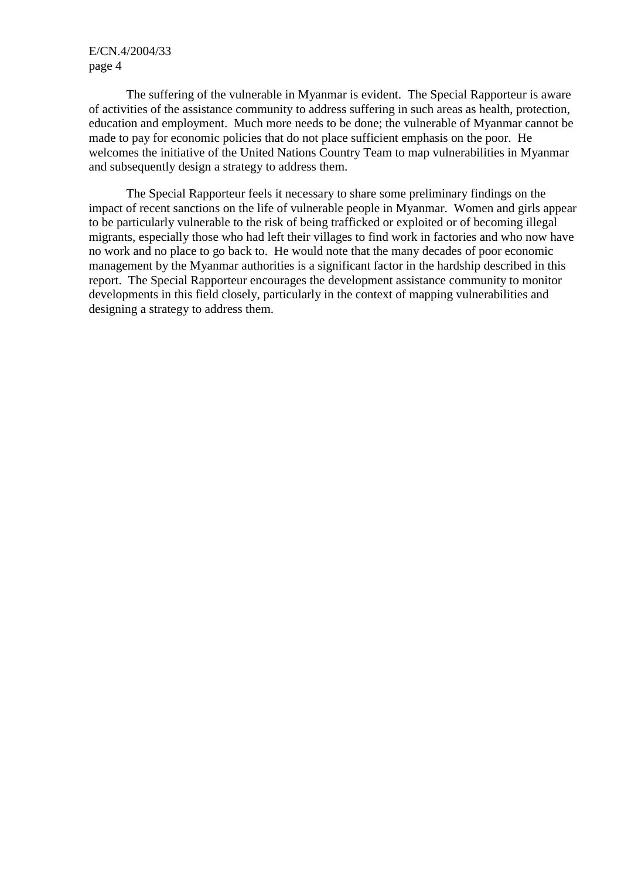The suffering of the vulnerable in Myanmar is evident. The Special Rapporteur is aware of activities of the assistance community to address suffering in such areas as health, protection, education and employment. Much more needs to be done; the vulnerable of Myanmar cannot be made to pay for economic policies that do not place sufficient emphasis on the poor. He welcomes the initiative of the United Nations Country Team to map vulnerabilities in Myanmar and subsequently design a strategy to address them.

 The Special Rapporteur feels it necessary to share some preliminary findings on the impact of recent sanctions on the life of vulnerable people in Myanmar. Women and girls appear to be particularly vulnerable to the risk of being trafficked or exploited or of becoming illegal migrants, especially those who had left their villages to find work in factories and who now have no work and no place to go back to. He would note that the many decades of poor economic management by the Myanmar authorities is a significant factor in the hardship described in this report. The Special Rapporteur encourages the development assistance community to monitor developments in this field closely, particularly in the context of mapping vulnerabilities and designing a strategy to address them.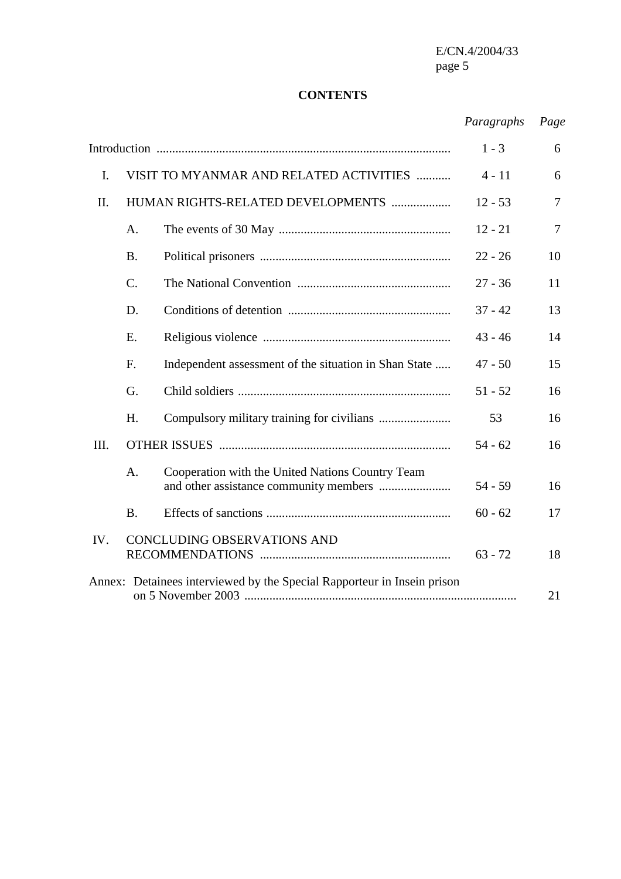#### **CONTENTS**

# *Paragraphs Page*

|      |                                                                         |                                                       | $1 - 3$   | 6              |
|------|-------------------------------------------------------------------------|-------------------------------------------------------|-----------|----------------|
| I.   |                                                                         | VISIT TO MYANMAR AND RELATED ACTIVITIES               | $4 - 11$  | 6              |
| II.  |                                                                         | HUMAN RIGHTS-RELATED DEVELOPMENTS                     | $12 - 53$ | $\overline{7}$ |
|      | A.                                                                      |                                                       | $12 - 21$ | $\tau$         |
|      | <b>B.</b>                                                               |                                                       | $22 - 26$ | 10             |
|      | $\mathcal{C}$ .                                                         |                                                       | $27 - 36$ | 11             |
|      | D.                                                                      |                                                       | $37 - 42$ | 13             |
|      | Ε.                                                                      |                                                       | $43 - 46$ | 14             |
|      | F.                                                                      | Independent assessment of the situation in Shan State | $47 - 50$ | 15             |
|      | G.                                                                      |                                                       | $51 - 52$ | 16             |
|      | H.                                                                      |                                                       | 53        | 16             |
| III. |                                                                         |                                                       | $54 - 62$ | 16             |
|      | A <sub>1</sub>                                                          | Cooperation with the United Nations Country Team      | $54 - 59$ | 16             |
|      | <b>B.</b>                                                               |                                                       | $60 - 62$ | 17             |
| IV.  |                                                                         | <b>CONCLUDING OBSERVATIONS AND</b>                    | $63 - 72$ | 18             |
|      | Annex: Detainees interviewed by the Special Rapporteur in Insein prison |                                                       |           | 21             |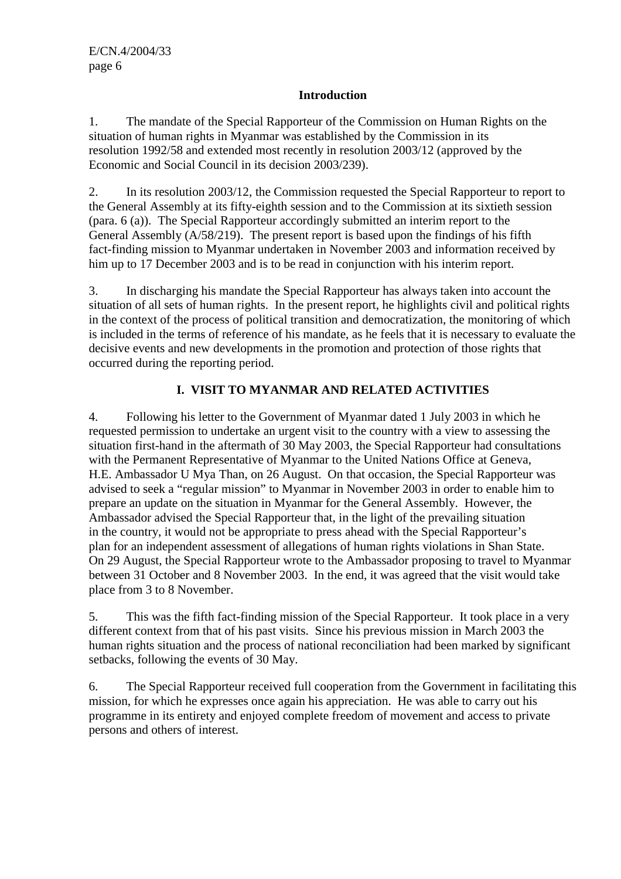#### **Introduction**

1. The mandate of the Special Rapporteur of the Commission on Human Rights on the situation of human rights in Myanmar was established by the Commission in its resolution 1992/58 and extended most recently in resolution 2003/12 (approved by the Economic and Social Council in its decision 2003/239).

2. In its resolution 2003/12, the Commission requested the Special Rapporteur to report to the General Assembly at its fifty-eighth session and to the Commission at its sixtieth session (para. 6 (a)). The Special Rapporteur accordingly submitted an interim report to the General Assembly (A/58/219). The present report is based upon the findings of his fifth fact-finding mission to Myanmar undertaken in November 2003 and information received by him up to 17 December 2003 and is to be read in conjunction with his interim report.

3. In discharging his mandate the Special Rapporteur has always taken into account the situation of all sets of human rights. In the present report, he highlights civil and political rights in the context of the process of political transition and democratization, the monitoring of which is included in the terms of reference of his mandate, as he feels that it is necessary to evaluate the decisive events and new developments in the promotion and protection of those rights that occurred during the reporting period.

## **I. VISIT TO MYANMAR AND RELATED ACTIVITIES**

4. Following his letter to the Government of Myanmar dated 1 July 2003 in which he requested permission to undertake an urgent visit to the country with a view to assessing the situation first-hand in the aftermath of 30 May 2003, the Special Rapporteur had consultations with the Permanent Representative of Myanmar to the United Nations Office at Geneva, H.E. Ambassador U Mya Than, on 26 August. On that occasion, the Special Rapporteur was advised to seek a "regular mission" to Myanmar in November 2003 in order to enable him to prepare an update on the situation in Myanmar for the General Assembly. However, the Ambassador advised the Special Rapporteur that, in the light of the prevailing situation in the country, it would not be appropriate to press ahead with the Special Rapporteur's plan for an independent assessment of allegations of human rights violations in Shan State. On 29 August, the Special Rapporteur wrote to the Ambassador proposing to travel to Myanmar between 31 October and 8 November 2003. In the end, it was agreed that the visit would take place from 3 to 8 November.

5. This was the fifth fact-finding mission of the Special Rapporteur. It took place in a very different context from that of his past visits. Since his previous mission in March 2003 the human rights situation and the process of national reconciliation had been marked by significant setbacks, following the events of 30 May.

6. The Special Rapporteur received full cooperation from the Government in facilitating this mission, for which he expresses once again his appreciation. He was able to carry out his programme in its entirety and enjoyed complete freedom of movement and access to private persons and others of interest.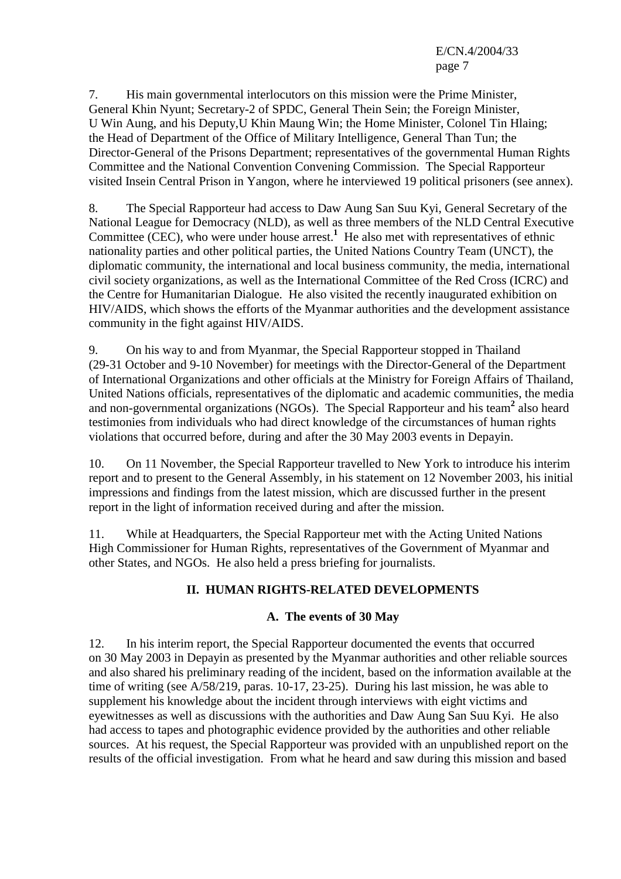7. His main governmental interlocutors on this mission were the Prime Minister, General Khin Nyunt; Secretary-2 of SPDC, General Thein Sein; the Foreign Minister, U Win Aung, and his Deputy,U Khin Maung Win; the Home Minister, Colonel Tin Hlaing; the Head of Department of the Office of Military Intelligence, General Than Tun; the Director-General of the Prisons Department; representatives of the governmental Human Rights Committee and the National Convention Convening Commission. The Special Rapporteur visited Insein Central Prison in Yangon, where he interviewed 19 political prisoners (see annex).

8. The Special Rapporteur had access to Daw Aung San Suu Kyi, General Secretary of the National League for Democracy (NLD), as well as three members of the NLD Central Executive Committee (CEC), who were under house arrest.<sup>1</sup> He also met with representatives of ethnic nationality parties and other political parties, the United Nations Country Team (UNCT), the diplomatic community, the international and local business community, the media, international civil society organizations, as well as the International Committee of the Red Cross (ICRC) and the Centre for Humanitarian Dialogue. He also visited the recently inaugurated exhibition on HIV/AIDS, which shows the efforts of the Myanmar authorities and the development assistance community in the fight against HIV/AIDS.

9. On his way to and from Myanmar, the Special Rapporteur stopped in Thailand (29-31 October and 9-10 November) for meetings with the Director-General of the Department of International Organizations and other officials at the Ministry for Foreign Affairs of Thailand, United Nations officials, representatives of the diplomatic and academic communities, the media and non-governmental organizations (NGOs). The Special Rapporteur and his team<sup>2</sup> also heard testimonies from individuals who had direct knowledge of the circumstances of human rights violations that occurred before, during and after the 30 May 2003 events in Depayin.

10. On 11 November, the Special Rapporteur travelled to New York to introduce his interim report and to present to the General Assembly, in his statement on 12 November 2003, his initial impressions and findings from the latest mission, which are discussed further in the present report in the light of information received during and after the mission.

11. While at Headquarters, the Special Rapporteur met with the Acting United Nations High Commissioner for Human Rights, representatives of the Government of Myanmar and other States, and NGOs. He also held a press briefing for journalists.

## **II. HUMAN RIGHTS-RELATED DEVELOPMENTS**

#### **A. The events of 30 May**

12. In his interim report, the Special Rapporteur documented the events that occurred on 30 May 2003 in Depayin as presented by the Myanmar authorities and other reliable sources and also shared his preliminary reading of the incident, based on the information available at the time of writing (see A/58/219, paras. 10-17, 23-25). During his last mission, he was able to supplement his knowledge about the incident through interviews with eight victims and eyewitnesses as well as discussions with the authorities and Daw Aung San Suu Kyi. He also had access to tapes and photographic evidence provided by the authorities and other reliable sources. At his request, the Special Rapporteur was provided with an unpublished report on the results of the official investigation. From what he heard and saw during this mission and based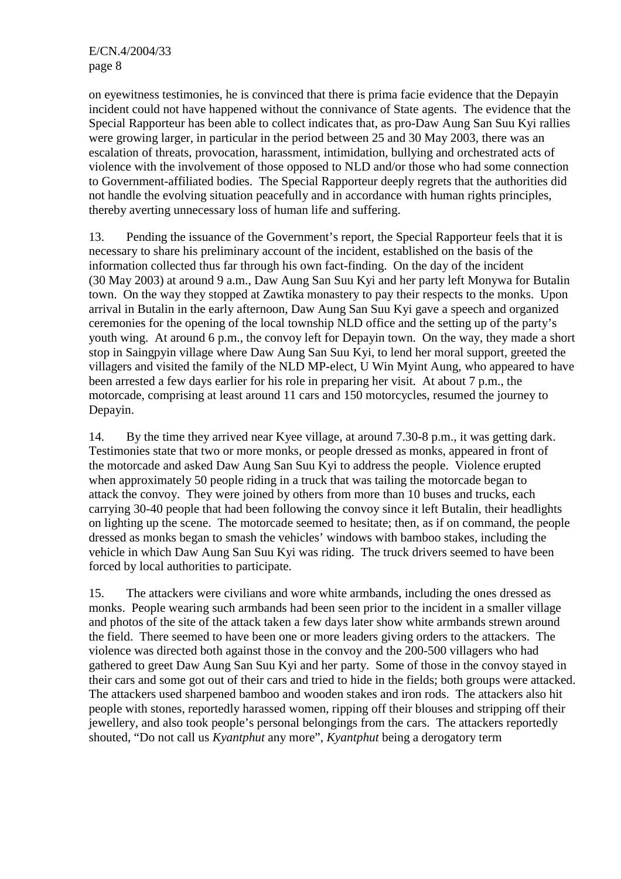on eyewitness testimonies, he is convinced that there is prima facie evidence that the Depayin incident could not have happened without the connivance of State agents. The evidence that the Special Rapporteur has been able to collect indicates that, as pro-Daw Aung San Suu Kyi rallies were growing larger, in particular in the period between 25 and 30 May 2003, there was an escalation of threats, provocation, harassment, intimidation, bullying and orchestrated acts of violence with the involvement of those opposed to NLD and/or those who had some connection to Government-affiliated bodies. The Special Rapporteur deeply regrets that the authorities did not handle the evolving situation peacefully and in accordance with human rights principles, thereby averting unnecessary loss of human life and suffering.

13. Pending the issuance of the Government's report, the Special Rapporteur feels that it is necessary to share his preliminary account of the incident, established on the basis of the information collected thus far through his own fact-finding. On the day of the incident (30 May 2003) at around 9 a.m., Daw Aung San Suu Kyi and her party left Monywa for Butalin town. On the way they stopped at Zawtika monastery to pay their respects to the monks. Upon arrival in Butalin in the early afternoon, Daw Aung San Suu Kyi gave a speech and organized ceremonies for the opening of the local township NLD office and the setting up of the party's youth wing. At around 6 p.m., the convoy left for Depayin town. On the way, they made a short stop in Saingpyin village where Daw Aung San Suu Kyi, to lend her moral support, greeted the villagers and visited the family of the NLD MP-elect, U Win Myint Aung, who appeared to have been arrested a few days earlier for his role in preparing her visit. At about 7 p.m., the motorcade, comprising at least around 11 cars and 150 motorcycles, resumed the journey to Depayin.

14. By the time they arrived near Kyee village, at around 7.30-8 p.m., it was getting dark. Testimonies state that two or more monks, or people dressed as monks, appeared in front of the motorcade and asked Daw Aung San Suu Kyi to address the people. Violence erupted when approximately 50 people riding in a truck that was tailing the motorcade began to attack the convoy. They were joined by others from more than 10 buses and trucks, each carrying 30-40 people that had been following the convoy since it left Butalin, their headlights on lighting up the scene. The motorcade seemed to hesitate; then, as if on command, the people dressed as monks began to smash the vehicles' windows with bamboo stakes, including the vehicle in which Daw Aung San Suu Kyi was riding. The truck drivers seemed to have been forced by local authorities to participate.

15. The attackers were civilians and wore white armbands, including the ones dressed as monks. People wearing such armbands had been seen prior to the incident in a smaller village and photos of the site of the attack taken a few days later show white armbands strewn around the field. There seemed to have been one or more leaders giving orders to the attackers. The violence was directed both against those in the convoy and the 200-500 villagers who had gathered to greet Daw Aung San Suu Kyi and her party. Some of those in the convoy stayed in their cars and some got out of their cars and tried to hide in the fields; both groups were attacked. The attackers used sharpened bamboo and wooden stakes and iron rods. The attackers also hit people with stones, reportedly harassed women, ripping off their blouses and stripping off their jewellery, and also took people's personal belongings from the cars. The attackers reportedly shouted, "Do not call us *Kyantphut* any more", *Kyantphut* being a derogatory term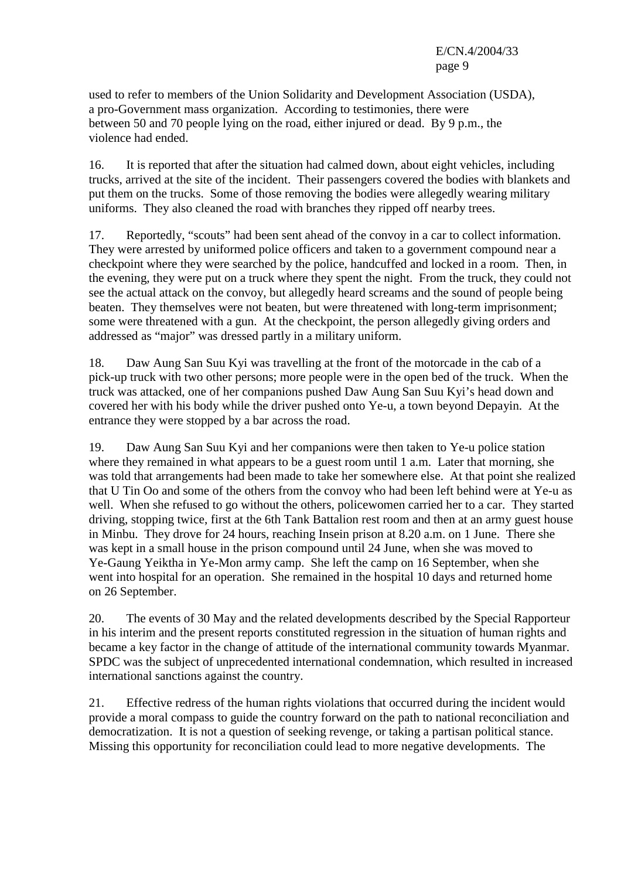used to refer to members of the Union Solidarity and Development Association (USDA), a pro-Government mass organization. According to testimonies, there were between 50 and 70 people lying on the road, either injured or dead. By 9 p.m., the violence had ended.

16. It is reported that after the situation had calmed down, about eight vehicles, including trucks, arrived at the site of the incident. Their passengers covered the bodies with blankets and put them on the trucks. Some of those removing the bodies were allegedly wearing military uniforms. They also cleaned the road with branches they ripped off nearby trees.

17. Reportedly, "scouts" had been sent ahead of the convoy in a car to collect information. They were arrested by uniformed police officers and taken to a government compound near a checkpoint where they were searched by the police, handcuffed and locked in a room. Then, in the evening, they were put on a truck where they spent the night. From the truck, they could not see the actual attack on the convoy, but allegedly heard screams and the sound of people being beaten. They themselves were not beaten, but were threatened with long-term imprisonment; some were threatened with a gun. At the checkpoint, the person allegedly giving orders and addressed as "major" was dressed partly in a military uniform.

18. Daw Aung San Suu Kyi was travelling at the front of the motorcade in the cab of a pick-up truck with two other persons; more people were in the open bed of the truck. When the truck was attacked, one of her companions pushed Daw Aung San Suu Kyi's head down and covered her with his body while the driver pushed onto Ye-u, a town beyond Depayin. At the entrance they were stopped by a bar across the road.

19. Daw Aung San Suu Kyi and her companions were then taken to Ye-u police station where they remained in what appears to be a guest room until 1 a.m. Later that morning, she was told that arrangements had been made to take her somewhere else. At that point she realized that U Tin Oo and some of the others from the convoy who had been left behind were at Ye-u as well. When she refused to go without the others, policewomen carried her to a car. They started driving, stopping twice, first at the 6th Tank Battalion rest room and then at an army guest house in Minbu. They drove for 24 hours, reaching Insein prison at 8.20 a.m. on 1 June. There she was kept in a small house in the prison compound until 24 June, when she was moved to Ye-Gaung Yeiktha in Ye-Mon army camp. She left the camp on 16 September, when she went into hospital for an operation. She remained in the hospital 10 days and returned home on 26 September.

20. The events of 30 May and the related developments described by the Special Rapporteur in his interim and the present reports constituted regression in the situation of human rights and became a key factor in the change of attitude of the international community towards Myanmar. SPDC was the subject of unprecedented international condemnation, which resulted in increased international sanctions against the country.

21. Effective redress of the human rights violations that occurred during the incident would provide a moral compass to guide the country forward on the path to national reconciliation and democratization. It is not a question of seeking revenge, or taking a partisan political stance. Missing this opportunity for reconciliation could lead to more negative developments. The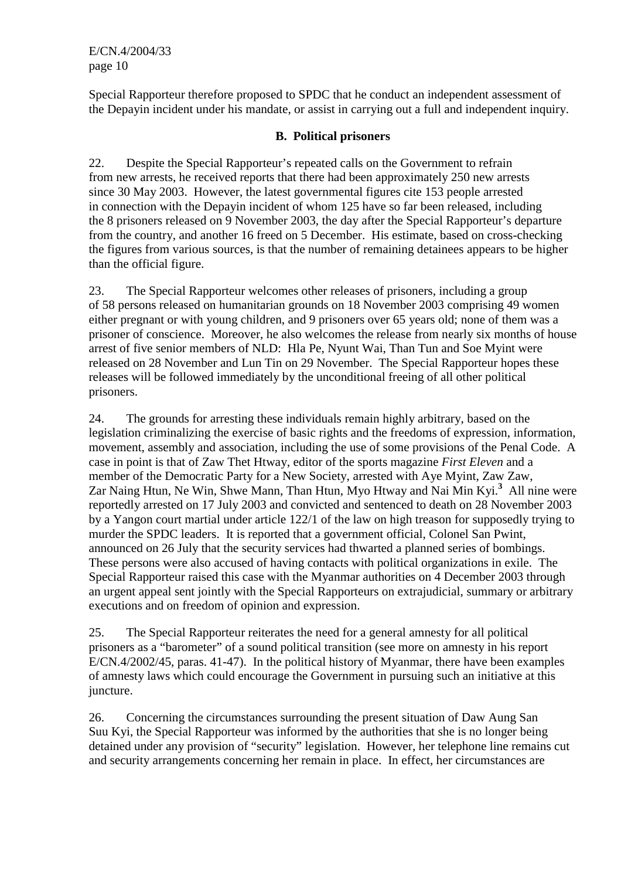Special Rapporteur therefore proposed to SPDC that he conduct an independent assessment of the Depayin incident under his mandate, or assist in carrying out a full and independent inquiry.

#### **B. Political prisoners**

22. Despite the Special Rapporteur's repeated calls on the Government to refrain from new arrests, he received reports that there had been approximately 250 new arrests since 30 May 2003. However, the latest governmental figures cite 153 people arrested in connection with the Depayin incident of whom 125 have so far been released, including the 8 prisoners released on 9 November 2003, the day after the Special Rapporteur's departure from the country, and another 16 freed on 5 December. His estimate, based on cross-checking the figures from various sources, is that the number of remaining detainees appears to be higher than the official figure.

23. The Special Rapporteur welcomes other releases of prisoners, including a group of 58 persons released on humanitarian grounds on 18 November 2003 comprising 49 women either pregnant or with young children, and 9 prisoners over 65 years old; none of them was a prisoner of conscience. Moreover, he also welcomes the release from nearly six months of house arrest of five senior members of NLD: Hla Pe, Nyunt Wai, Than Tun and Soe Myint were released on 28 November and Lun Tin on 29 November. The Special Rapporteur hopes these releases will be followed immediately by the unconditional freeing of all other political prisoners.

24. The grounds for arresting these individuals remain highly arbitrary, based on the legislation criminalizing the exercise of basic rights and the freedoms of expression, information, movement, assembly and association, including the use of some provisions of the Penal Code. A case in point is that of Zaw Thet Htway, editor of the sports magazine *First Eleven* and a member of the Democratic Party for a New Society, arrested with Aye Myint, Zaw Zaw, Zar Naing Htun, Ne Win, Shwe Mann, Than Htun, Myo Htway and Nai Min Kyi.**<sup>3</sup>** All nine were reportedly arrested on 17 July 2003 and convicted and sentenced to death on 28 November 2003 by a Yangon court martial under article 122/1 of the law on high treason for supposedly trying to murder the SPDC leaders. It is reported that a government official, Colonel San Pwint, announced on 26 July that the security services had thwarted a planned series of bombings. These persons were also accused of having contacts with political organizations in exile. The Special Rapporteur raised this case with the Myanmar authorities on 4 December 2003 through an urgent appeal sent jointly with the Special Rapporteurs on extrajudicial, summary or arbitrary executions and on freedom of opinion and expression.

25. The Special Rapporteur reiterates the need for a general amnesty for all political prisoners as a "barometer" of a sound political transition (see more on amnesty in his report E/CN.4/2002/45, paras. 41-47). In the political history of Myanmar, there have been examples of amnesty laws which could encourage the Government in pursuing such an initiative at this juncture.

26. Concerning the circumstances surrounding the present situation of Daw Aung San Suu Kyi, the Special Rapporteur was informed by the authorities that she is no longer being detained under any provision of "security" legislation. However, her telephone line remains cut and security arrangements concerning her remain in place. In effect, her circumstances are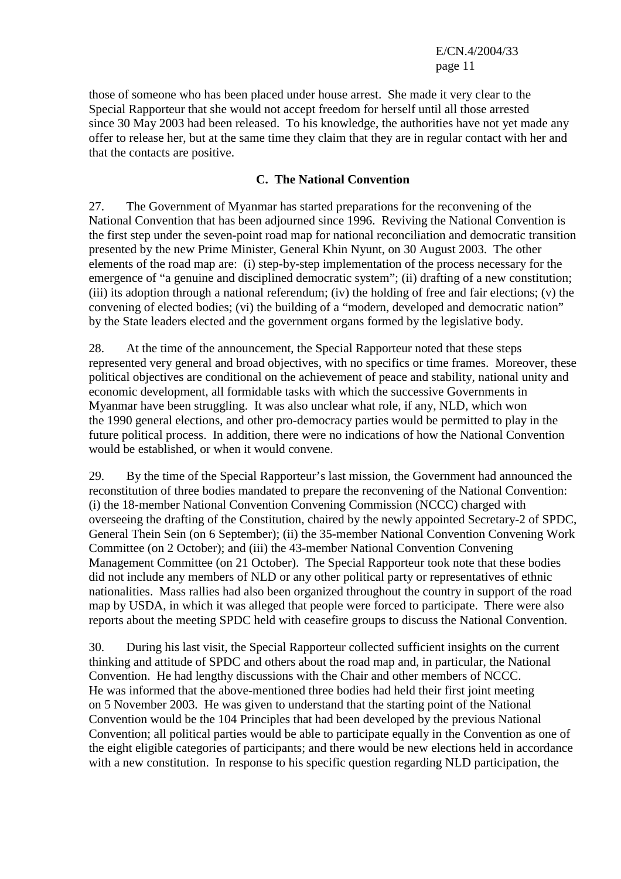those of someone who has been placed under house arrest. She made it very clear to the Special Rapporteur that she would not accept freedom for herself until all those arrested since 30 May 2003 had been released. To his knowledge, the authorities have not yet made any offer to release her, but at the same time they claim that they are in regular contact with her and that the contacts are positive.

#### **C. The National Convention**

27. The Government of Myanmar has started preparations for the reconvening of the National Convention that has been adjourned since 1996. Reviving the National Convention is the first step under the seven-point road map for national reconciliation and democratic transition presented by the new Prime Minister, General Khin Nyunt, on 30 August 2003. The other elements of the road map are: (i) step-by-step implementation of the process necessary for the emergence of "a genuine and disciplined democratic system"; (ii) drafting of a new constitution; (iii) its adoption through a national referendum; (iv) the holding of free and fair elections; (v) the convening of elected bodies; (vi) the building of a "modern, developed and democratic nation" by the State leaders elected and the government organs formed by the legislative body.

28. At the time of the announcement, the Special Rapporteur noted that these steps represented very general and broad objectives, with no specifics or time frames. Moreover, these political objectives are conditional on the achievement of peace and stability, national unity and economic development, all formidable tasks with which the successive Governments in Myanmar have been struggling. It was also unclear what role, if any, NLD, which won the 1990 general elections, and other pro-democracy parties would be permitted to play in the future political process. In addition, there were no indications of how the National Convention would be established, or when it would convene.

29. By the time of the Special Rapporteur's last mission, the Government had announced the reconstitution of three bodies mandated to prepare the reconvening of the National Convention: (i) the 18-member National Convention Convening Commission (NCCC) charged with overseeing the drafting of the Constitution, chaired by the newly appointed Secretary-2 of SPDC, General Thein Sein (on 6 September); (ii) the 35-member National Convention Convening Work Committee (on 2 October); and (iii) the 43-member National Convention Convening Management Committee (on 21 October). The Special Rapporteur took note that these bodies did not include any members of NLD or any other political party or representatives of ethnic nationalities. Mass rallies had also been organized throughout the country in support of the road map by USDA, in which it was alleged that people were forced to participate. There were also reports about the meeting SPDC held with ceasefire groups to discuss the National Convention.

30. During his last visit, the Special Rapporteur collected sufficient insights on the current thinking and attitude of SPDC and others about the road map and, in particular, the National Convention. He had lengthy discussions with the Chair and other members of NCCC. He was informed that the above-mentioned three bodies had held their first joint meeting on 5 November 2003. He was given to understand that the starting point of the National Convention would be the 104 Principles that had been developed by the previous National Convention; all political parties would be able to participate equally in the Convention as one of the eight eligible categories of participants; and there would be new elections held in accordance with a new constitution. In response to his specific question regarding NLD participation, the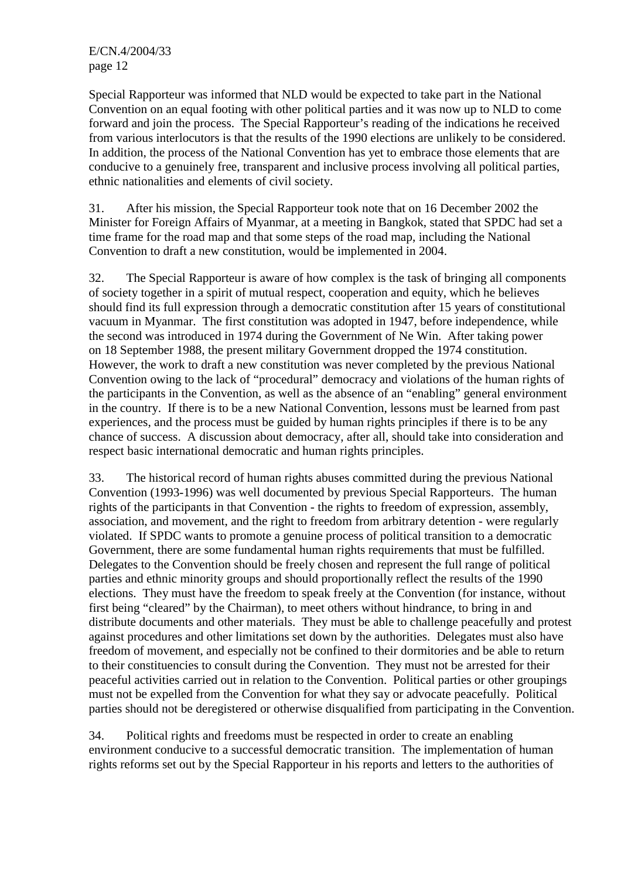Special Rapporteur was informed that NLD would be expected to take part in the National Convention on an equal footing with other political parties and it was now up to NLD to come forward and join the process. The Special Rapporteur's reading of the indications he received from various interlocutors is that the results of the 1990 elections are unlikely to be considered. In addition, the process of the National Convention has yet to embrace those elements that are conducive to a genuinely free, transparent and inclusive process involving all political parties, ethnic nationalities and elements of civil society.

31. After his mission, the Special Rapporteur took note that on 16 December 2002 the Minister for Foreign Affairs of Myanmar, at a meeting in Bangkok, stated that SPDC had set a time frame for the road map and that some steps of the road map, including the National Convention to draft a new constitution, would be implemented in 2004.

32. The Special Rapporteur is aware of how complex is the task of bringing all components of society together in a spirit of mutual respect, cooperation and equity, which he believes should find its full expression through a democratic constitution after 15 years of constitutional vacuum in Myanmar. The first constitution was adopted in 1947, before independence, while the second was introduced in 1974 during the Government of Ne Win. After taking power on 18 September 1988, the present military Government dropped the 1974 constitution. However, the work to draft a new constitution was never completed by the previous National Convention owing to the lack of "procedural" democracy and violations of the human rights of the participants in the Convention, as well as the absence of an "enabling" general environment in the country. If there is to be a new National Convention, lessons must be learned from past experiences, and the process must be guided by human rights principles if there is to be any chance of success. A discussion about democracy, after all, should take into consideration and respect basic international democratic and human rights principles.

33. The historical record of human rights abuses committed during the previous National Convention (1993-1996) was well documented by previous Special Rapporteurs. The human rights of the participants in that Convention - the rights to freedom of expression, assembly, association, and movement, and the right to freedom from arbitrary detention - were regularly violated. If SPDC wants to promote a genuine process of political transition to a democratic Government, there are some fundamental human rights requirements that must be fulfilled. Delegates to the Convention should be freely chosen and represent the full range of political parties and ethnic minority groups and should proportionally reflect the results of the 1990 elections. They must have the freedom to speak freely at the Convention (for instance, without first being "cleared" by the Chairman), to meet others without hindrance, to bring in and distribute documents and other materials. They must be able to challenge peacefully and protest against procedures and other limitations set down by the authorities. Delegates must also have freedom of movement, and especially not be confined to their dormitories and be able to return to their constituencies to consult during the Convention. They must not be arrested for their peaceful activities carried out in relation to the Convention. Political parties or other groupings must not be expelled from the Convention for what they say or advocate peacefully. Political parties should not be deregistered or otherwise disqualified from participating in the Convention.

34. Political rights and freedoms must be respected in order to create an enabling environment conducive to a successful democratic transition. The implementation of human rights reforms set out by the Special Rapporteur in his reports and letters to the authorities of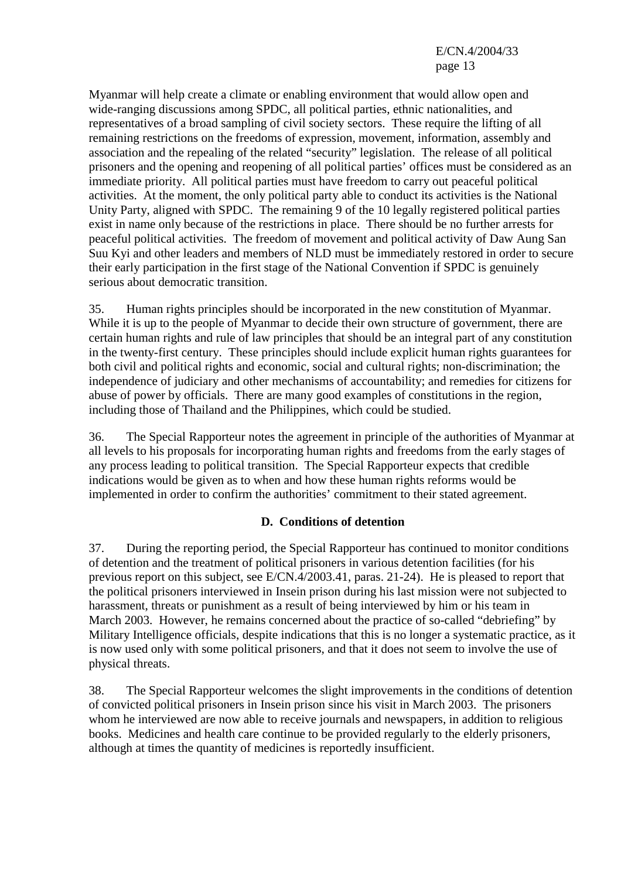Myanmar will help create a climate or enabling environment that would allow open and wide-ranging discussions among SPDC, all political parties, ethnic nationalities, and representatives of a broad sampling of civil society sectors. These require the lifting of all remaining restrictions on the freedoms of expression, movement, information, assembly and association and the repealing of the related "security" legislation. The release of all political prisoners and the opening and reopening of all political parties' offices must be considered as an immediate priority. All political parties must have freedom to carry out peaceful political activities. At the moment, the only political party able to conduct its activities is the National Unity Party, aligned with SPDC. The remaining 9 of the 10 legally registered political parties exist in name only because of the restrictions in place. There should be no further arrests for peaceful political activities. The freedom of movement and political activity of Daw Aung San Suu Kyi and other leaders and members of NLD must be immediately restored in order to secure their early participation in the first stage of the National Convention if SPDC is genuinely serious about democratic transition.

35. Human rights principles should be incorporated in the new constitution of Myanmar. While it is up to the people of Myanmar to decide their own structure of government, there are certain human rights and rule of law principles that should be an integral part of any constitution in the twenty-first century. These principles should include explicit human rights guarantees for both civil and political rights and economic, social and cultural rights; non-discrimination; the independence of judiciary and other mechanisms of accountability; and remedies for citizens for abuse of power by officials. There are many good examples of constitutions in the region, including those of Thailand and the Philippines, which could be studied.

36. The Special Rapporteur notes the agreement in principle of the authorities of Myanmar at all levels to his proposals for incorporating human rights and freedoms from the early stages of any process leading to political transition. The Special Rapporteur expects that credible indications would be given as to when and how these human rights reforms would be implemented in order to confirm the authorities' commitment to their stated agreement.

## **D. Conditions of detention**

37. During the reporting period, the Special Rapporteur has continued to monitor conditions of detention and the treatment of political prisoners in various detention facilities (for his previous report on this subject, see E/CN.4/2003.41, paras. 21-24). He is pleased to report that the political prisoners interviewed in Insein prison during his last mission were not subjected to harassment, threats or punishment as a result of being interviewed by him or his team in March 2003. However, he remains concerned about the practice of so-called "debriefing" by Military Intelligence officials, despite indications that this is no longer a systematic practice, as it is now used only with some political prisoners, and that it does not seem to involve the use of physical threats.

38. The Special Rapporteur welcomes the slight improvements in the conditions of detention of convicted political prisoners in Insein prison since his visit in March 2003. The prisoners whom he interviewed are now able to receive journals and newspapers, in addition to religious books. Medicines and health care continue to be provided regularly to the elderly prisoners, although at times the quantity of medicines is reportedly insufficient.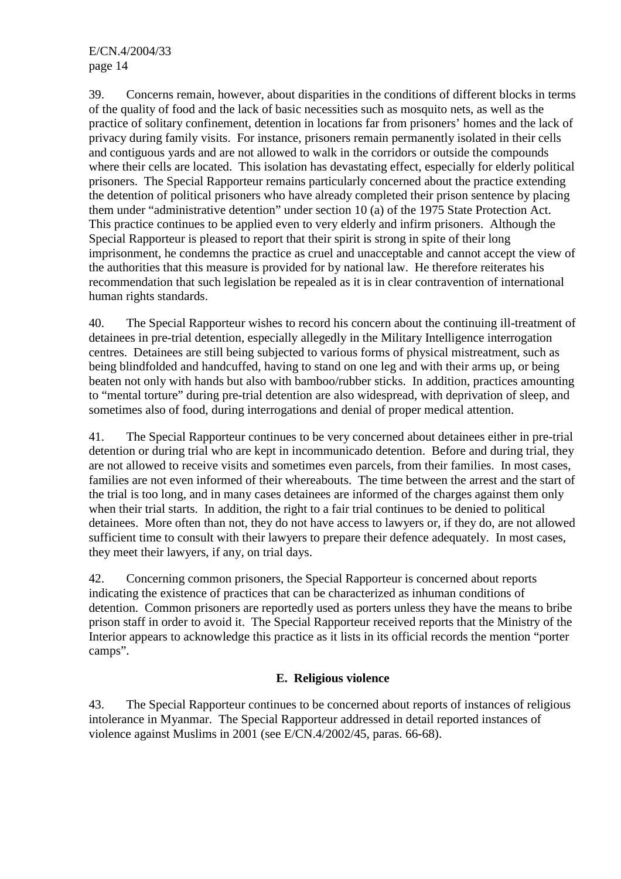39. Concerns remain, however, about disparities in the conditions of different blocks in terms of the quality of food and the lack of basic necessities such as mosquito nets, as well as the practice of solitary confinement, detention in locations far from prisoners' homes and the lack of privacy during family visits. For instance, prisoners remain permanently isolated in their cells and contiguous yards and are not allowed to walk in the corridors or outside the compounds where their cells are located. This isolation has devastating effect, especially for elderly political prisoners. The Special Rapporteur remains particularly concerned about the practice extending the detention of political prisoners who have already completed their prison sentence by placing them under "administrative detention" under section 10 (a) of the 1975 State Protection Act. This practice continues to be applied even to very elderly and infirm prisoners. Although the Special Rapporteur is pleased to report that their spirit is strong in spite of their long imprisonment, he condemns the practice as cruel and unacceptable and cannot accept the view of the authorities that this measure is provided for by national law. He therefore reiterates his recommendation that such legislation be repealed as it is in clear contravention of international human rights standards.

40. The Special Rapporteur wishes to record his concern about the continuing ill-treatment of detainees in pre-trial detention, especially allegedly in the Military Intelligence interrogation centres. Detainees are still being subjected to various forms of physical mistreatment, such as being blindfolded and handcuffed, having to stand on one leg and with their arms up, or being beaten not only with hands but also with bamboo/rubber sticks. In addition, practices amounting to "mental torture" during pre-trial detention are also widespread, with deprivation of sleep, and sometimes also of food, during interrogations and denial of proper medical attention.

41. The Special Rapporteur continues to be very concerned about detainees either in pre-trial detention or during trial who are kept in incommunicado detention. Before and during trial, they are not allowed to receive visits and sometimes even parcels, from their families. In most cases, families are not even informed of their whereabouts. The time between the arrest and the start of the trial is too long, and in many cases detainees are informed of the charges against them only when their trial starts. In addition, the right to a fair trial continues to be denied to political detainees. More often than not, they do not have access to lawyers or, if they do, are not allowed sufficient time to consult with their lawyers to prepare their defence adequately. In most cases, they meet their lawyers, if any, on trial days.

42. Concerning common prisoners, the Special Rapporteur is concerned about reports indicating the existence of practices that can be characterized as inhuman conditions of detention. Common prisoners are reportedly used as porters unless they have the means to bribe prison staff in order to avoid it. The Special Rapporteur received reports that the Ministry of the Interior appears to acknowledge this practice as it lists in its official records the mention "porter camps".

#### **E. Religious violence**

43. The Special Rapporteur continues to be concerned about reports of instances of religious intolerance in Myanmar. The Special Rapporteur addressed in detail reported instances of violence against Muslims in 2001 (see E/CN.4/2002/45, paras. 66-68).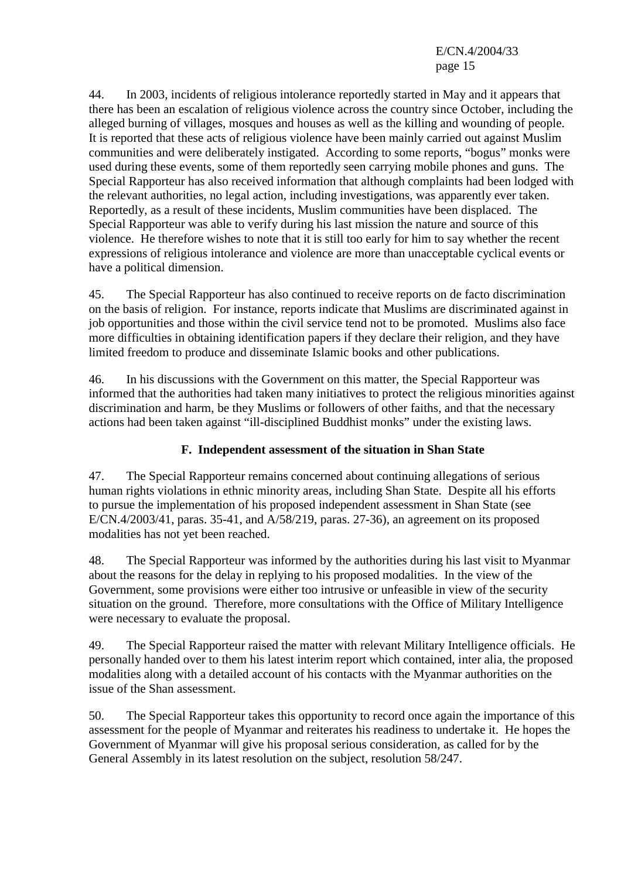44. In 2003, incidents of religious intolerance reportedly started in May and it appears that there has been an escalation of religious violence across the country since October, including the alleged burning of villages, mosques and houses as well as the killing and wounding of people. It is reported that these acts of religious violence have been mainly carried out against Muslim communities and were deliberately instigated. According to some reports, "bogus" monks were used during these events, some of them reportedly seen carrying mobile phones and guns. The Special Rapporteur has also received information that although complaints had been lodged with the relevant authorities, no legal action, including investigations, was apparently ever taken. Reportedly, as a result of these incidents, Muslim communities have been displaced. The Special Rapporteur was able to verify during his last mission the nature and source of this violence. He therefore wishes to note that it is still too early for him to say whether the recent expressions of religious intolerance and violence are more than unacceptable cyclical events or have a political dimension.

45. The Special Rapporteur has also continued to receive reports on de facto discrimination on the basis of religion. For instance, reports indicate that Muslims are discriminated against in job opportunities and those within the civil service tend not to be promoted. Muslims also face more difficulties in obtaining identification papers if they declare their religion, and they have limited freedom to produce and disseminate Islamic books and other publications.

46. In his discussions with the Government on this matter, the Special Rapporteur was informed that the authorities had taken many initiatives to protect the religious minorities against discrimination and harm, be they Muslims or followers of other faiths, and that the necessary actions had been taken against "ill-disciplined Buddhist monks" under the existing laws.

## **F. Independent assessment of the situation in Shan State**

47. The Special Rapporteur remains concerned about continuing allegations of serious human rights violations in ethnic minority areas, including Shan State. Despite all his efforts to pursue the implementation of his proposed independent assessment in Shan State (see E/CN.4/2003/41, paras. 35-41, and A/58/219, paras. 27-36), an agreement on its proposed modalities has not yet been reached.

48. The Special Rapporteur was informed by the authorities during his last visit to Myanmar about the reasons for the delay in replying to his proposed modalities. In the view of the Government, some provisions were either too intrusive or unfeasible in view of the security situation on the ground. Therefore, more consultations with the Office of Military Intelligence were necessary to evaluate the proposal.

49. The Special Rapporteur raised the matter with relevant Military Intelligence officials. He personally handed over to them his latest interim report which contained, inter alia, the proposed modalities along with a detailed account of his contacts with the Myanmar authorities on the issue of the Shan assessment.

50. The Special Rapporteur takes this opportunity to record once again the importance of this assessment for the people of Myanmar and reiterates his readiness to undertake it. He hopes the Government of Myanmar will give his proposal serious consideration, as called for by the General Assembly in its latest resolution on the subject, resolution 58/247.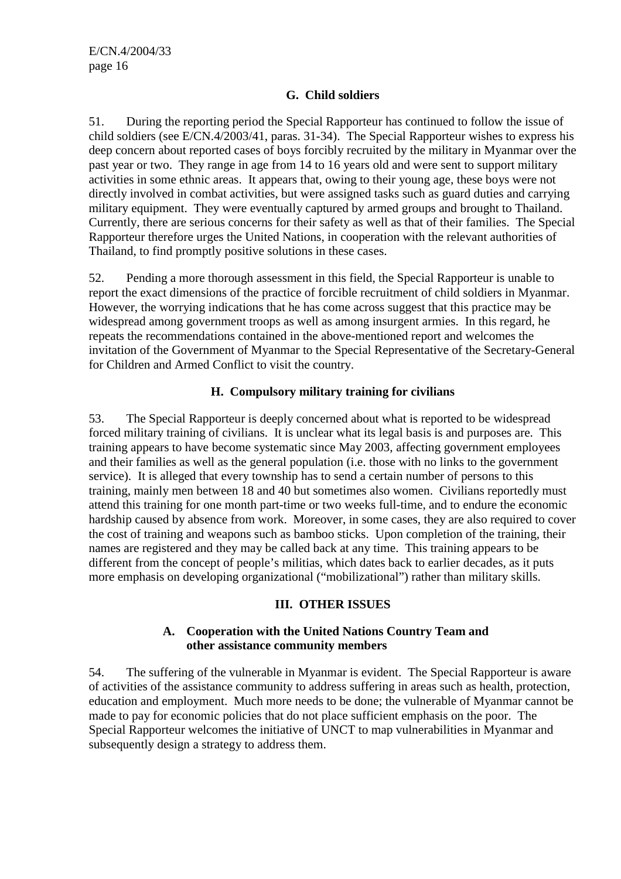#### **G. Child soldiers**

51. During the reporting period the Special Rapporteur has continued to follow the issue of child soldiers (see E/CN.4/2003/41, paras. 31-34). The Special Rapporteur wishes to express his deep concern about reported cases of boys forcibly recruited by the military in Myanmar over the past year or two. They range in age from 14 to 16 years old and were sent to support military activities in some ethnic areas. It appears that, owing to their young age, these boys were not directly involved in combat activities, but were assigned tasks such as guard duties and carrying military equipment. They were eventually captured by armed groups and brought to Thailand. Currently, there are serious concerns for their safety as well as that of their families. The Special Rapporteur therefore urges the United Nations, in cooperation with the relevant authorities of Thailand, to find promptly positive solutions in these cases.

52. Pending a more thorough assessment in this field, the Special Rapporteur is unable to report the exact dimensions of the practice of forcible recruitment of child soldiers in Myanmar. However, the worrying indications that he has come across suggest that this practice may be widespread among government troops as well as among insurgent armies. In this regard, he repeats the recommendations contained in the above-mentioned report and welcomes the invitation of the Government of Myanmar to the Special Representative of the Secretary-General for Children and Armed Conflict to visit the country.

#### **H. Compulsory military training for civilians**

53. The Special Rapporteur is deeply concerned about what is reported to be widespread forced military training of civilians. It is unclear what its legal basis is and purposes are. This training appears to have become systematic since May 2003, affecting government employees and their families as well as the general population (i.e. those with no links to the government service). It is alleged that every township has to send a certain number of persons to this training, mainly men between 18 and 40 but sometimes also women. Civilians reportedly must attend this training for one month part-time or two weeks full-time, and to endure the economic hardship caused by absence from work. Moreover, in some cases, they are also required to cover the cost of training and weapons such as bamboo sticks. Upon completion of the training, their names are registered and they may be called back at any time. This training appears to be different from the concept of people's militias, which dates back to earlier decades, as it puts more emphasis on developing organizational ("mobilizational") rather than military skills.

#### **III. OTHER ISSUES**

#### **A. Cooperation with the United Nations Country Team and other assistance community members**

54. The suffering of the vulnerable in Myanmar is evident. The Special Rapporteur is aware of activities of the assistance community to address suffering in areas such as health, protection, education and employment. Much more needs to be done; the vulnerable of Myanmar cannot be made to pay for economic policies that do not place sufficient emphasis on the poor. The Special Rapporteur welcomes the initiative of UNCT to map vulnerabilities in Myanmar and subsequently design a strategy to address them.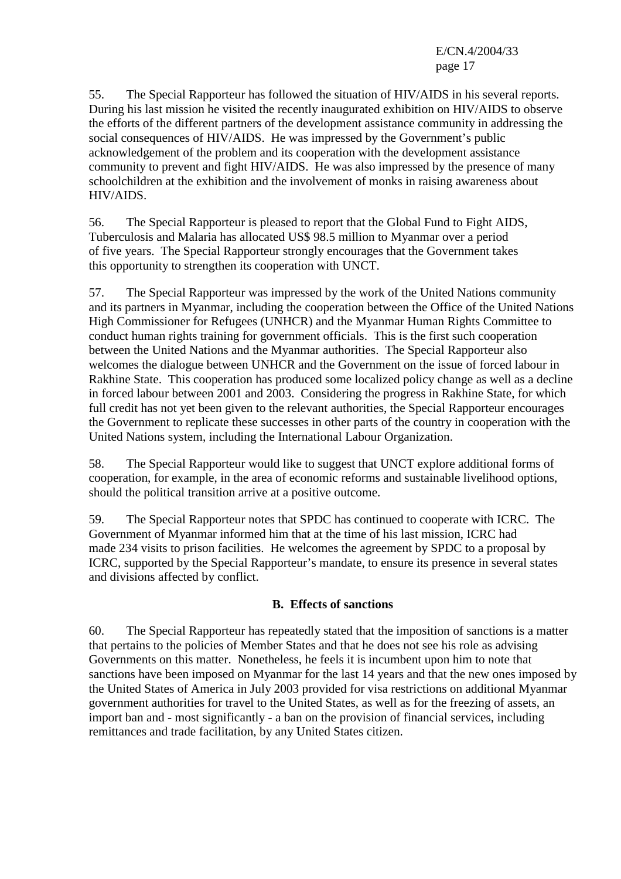55. The Special Rapporteur has followed the situation of HIV/AIDS in his several reports. During his last mission he visited the recently inaugurated exhibition on HIV/AIDS to observe the efforts of the different partners of the development assistance community in addressing the social consequences of HIV/AIDS. He was impressed by the Government's public acknowledgement of the problem and its cooperation with the development assistance community to prevent and fight HIV/AIDS. He was also impressed by the presence of many schoolchildren at the exhibition and the involvement of monks in raising awareness about HIV/AIDS.

56. The Special Rapporteur is pleased to report that the Global Fund to Fight AIDS, Tuberculosis and Malaria has allocated US\$ 98.5 million to Myanmar over a period of five years. The Special Rapporteur strongly encourages that the Government takes this opportunity to strengthen its cooperation with UNCT.

57. The Special Rapporteur was impressed by the work of the United Nations community and its partners in Myanmar, including the cooperation between the Office of the United Nations High Commissioner for Refugees (UNHCR) and the Myanmar Human Rights Committee to conduct human rights training for government officials. This is the first such cooperation between the United Nations and the Myanmar authorities. The Special Rapporteur also welcomes the dialogue between UNHCR and the Government on the issue of forced labour in Rakhine State. This cooperation has produced some localized policy change as well as a decline in forced labour between 2001 and 2003. Considering the progress in Rakhine State, for which full credit has not yet been given to the relevant authorities, the Special Rapporteur encourages the Government to replicate these successes in other parts of the country in cooperation with the United Nations system, including the International Labour Organization.

58. The Special Rapporteur would like to suggest that UNCT explore additional forms of cooperation, for example, in the area of economic reforms and sustainable livelihood options, should the political transition arrive at a positive outcome.

59. The Special Rapporteur notes that SPDC has continued to cooperate with ICRC. The Government of Myanmar informed him that at the time of his last mission, ICRC had made 234 visits to prison facilities. He welcomes the agreement by SPDC to a proposal by ICRC, supported by the Special Rapporteur's mandate, to ensure its presence in several states and divisions affected by conflict.

#### **B. Effects of sanctions**

60. The Special Rapporteur has repeatedly stated that the imposition of sanctions is a matter that pertains to the policies of Member States and that he does not see his role as advising Governments on this matter. Nonetheless, he feels it is incumbent upon him to note that sanctions have been imposed on Myanmar for the last 14 years and that the new ones imposed by the United States of America in July 2003 provided for visa restrictions on additional Myanmar government authorities for travel to the United States, as well as for the freezing of assets, an import ban and - most significantly - a ban on the provision of financial services, including remittances and trade facilitation, by any United States citizen.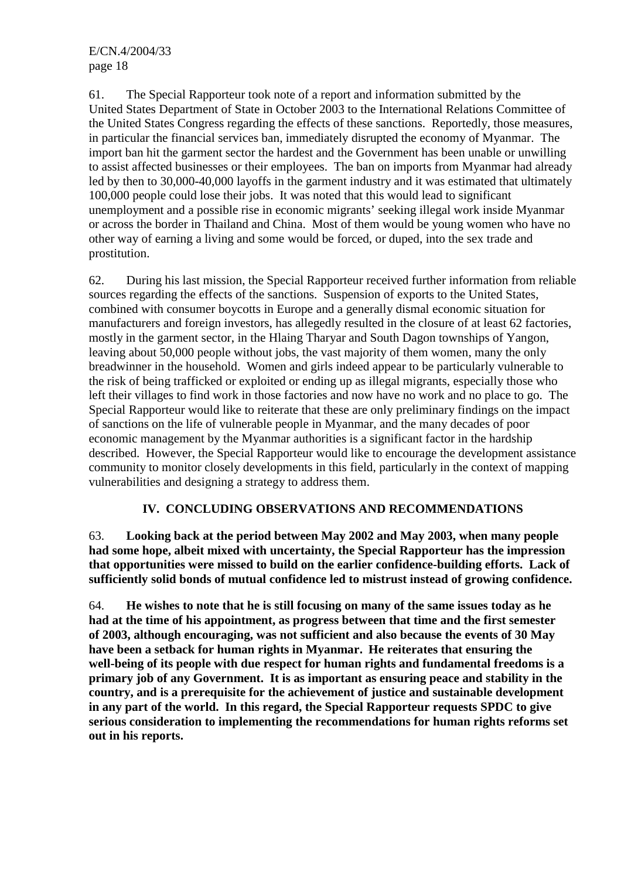61. The Special Rapporteur took note of a report and information submitted by the United States Department of State in October 2003 to the International Relations Committee of the United States Congress regarding the effects of these sanctions. Reportedly, those measures, in particular the financial services ban, immediately disrupted the economy of Myanmar. The import ban hit the garment sector the hardest and the Government has been unable or unwilling to assist affected businesses or their employees. The ban on imports from Myanmar had already led by then to 30,000-40,000 layoffs in the garment industry and it was estimated that ultimately 100,000 people could lose their jobs. It was noted that this would lead to significant unemployment and a possible rise in economic migrants' seeking illegal work inside Myanmar or across the border in Thailand and China. Most of them would be young women who have no other way of earning a living and some would be forced, or duped, into the sex trade and prostitution.

62. During his last mission, the Special Rapporteur received further information from reliable sources regarding the effects of the sanctions. Suspension of exports to the United States, combined with consumer boycotts in Europe and a generally dismal economic situation for manufacturers and foreign investors, has allegedly resulted in the closure of at least 62 factories, mostly in the garment sector, in the Hlaing Tharyar and South Dagon townships of Yangon, leaving about 50,000 people without jobs, the vast majority of them women, many the only breadwinner in the household. Women and girls indeed appear to be particularly vulnerable to the risk of being trafficked or exploited or ending up as illegal migrants, especially those who left their villages to find work in those factories and now have no work and no place to go. The Special Rapporteur would like to reiterate that these are only preliminary findings on the impact of sanctions on the life of vulnerable people in Myanmar, and the many decades of poor economic management by the Myanmar authorities is a significant factor in the hardship described. However, the Special Rapporteur would like to encourage the development assistance community to monitor closely developments in this field, particularly in the context of mapping vulnerabilities and designing a strategy to address them.

#### **IV. CONCLUDING OBSERVATIONS AND RECOMMENDATIONS**

63. **Looking back at the period between May 2002 and May 2003, when many people had some hope, albeit mixed with uncertainty, the Special Rapporteur has the impression that opportunities were missed to build on the earlier confidence-building efforts. Lack of sufficiently solid bonds of mutual confidence led to mistrust instead of growing confidence.**

64. **He wishes to note that he is still focusing on many of the same issues today as he had at the time of his appointment, as progress between that time and the first semester of 2003, although encouraging, was not sufficient and also because the events of 30 May have been a setback for human rights in Myanmar. He reiterates that ensuring the well-being of its people with due respect for human rights and fundamental freedoms is a primary job of any Government. It is as important as ensuring peace and stability in the country, and is a prerequisite for the achievement of justice and sustainable development in any part of the world. In this regard, the Special Rapporteur requests SPDC to give serious consideration to implementing the recommendations for human rights reforms set out in his reports.**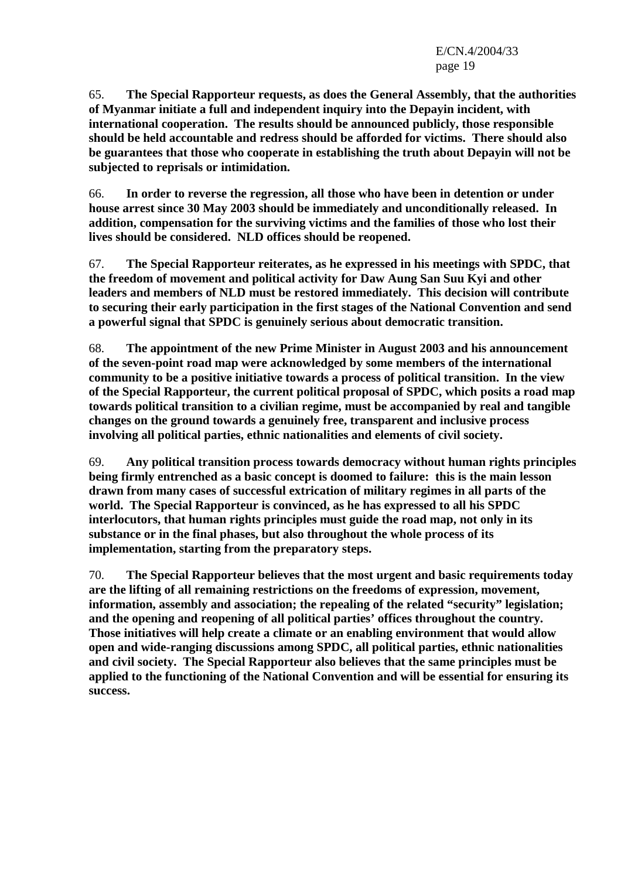65. **The Special Rapporteur requests, as does the General Assembly, that the authorities of Myanmar initiate a full and independent inquiry into the Depayin incident, with international cooperation. The results should be announced publicly, those responsible should be held accountable and redress should be afforded for victims. There should also be guarantees that those who cooperate in establishing the truth about Depayin will not be subjected to reprisals or intimidation.** 

66. **In order to reverse the regression, all those who have been in detention or under house arrest since 30 May 2003 should be immediately and unconditionally released. In addition, compensation for the surviving victims and the families of those who lost their lives should be considered. NLD offices should be reopened.** 

67. **The Special Rapporteur reiterates, as he expressed in his meetings with SPDC, that the freedom of movement and political activity for Daw Aung San Suu Kyi and other leaders and members of NLD must be restored immediately. This decision will contribute to securing their early participation in the first stages of the National Convention and send a powerful signal that SPDC is genuinely serious about democratic transition.** 

68. **The appointment of the new Prime Minister in August 2003 and his announcement of the seven-point road map were acknowledged by some members of the international community to be a positive initiative towards a process of political transition. In the view of the Special Rapporteur, the current political proposal of SPDC, which posits a road map towards political transition to a civilian regime, must be accompanied by real and tangible changes on the ground towards a genuinely free, transparent and inclusive process involving all political parties, ethnic nationalities and elements of civil society.** 

69. **Any political transition process towards democracy without human rights principles being firmly entrenched as a basic concept is doomed to failure: this is the main lesson drawn from many cases of successful extrication of military regimes in all parts of the world. The Special Rapporteur is convinced, as he has expressed to all his SPDC interlocutors, that human rights principles must guide the road map, not only in its substance or in the final phases, but also throughout the whole process of its implementation, starting from the preparatory steps.** 

70. **The Special Rapporteur believes that the most urgent and basic requirements today are the lifting of all remaining restrictions on the freedoms of expression, movement, information, assembly and association; the repealing of the related "security" legislation; and the opening and reopening of all political parties' offices throughout the country. Those initiatives will help create a climate or an enabling environment that would allow open and wide-ranging discussions among SPDC, all political parties, ethnic nationalities and civil society. The Special Rapporteur also believes that the same principles must be applied to the functioning of the National Convention and will be essential for ensuring its success.**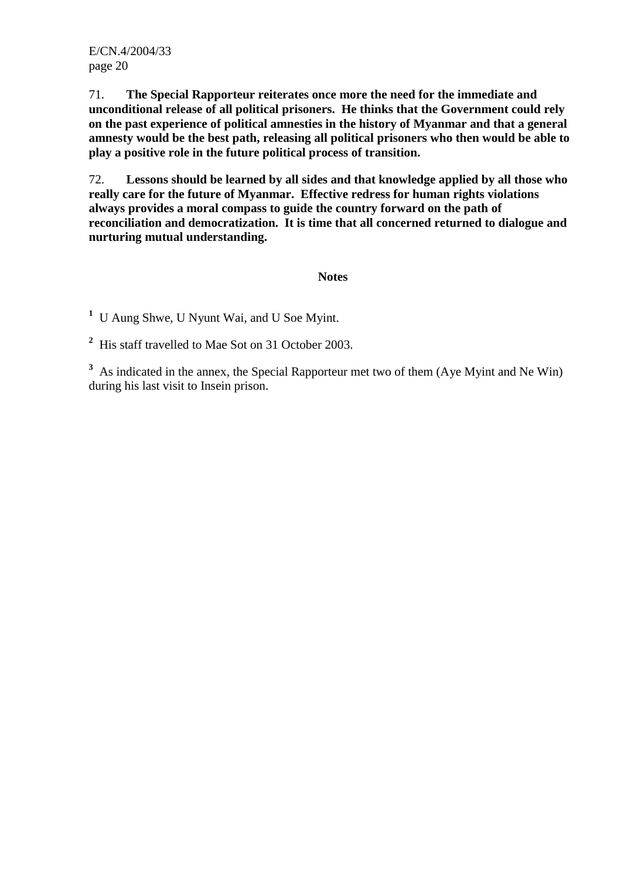71. **The Special Rapporteur reiterates once more the need for the immediate and unconditional release of all political prisoners. He thinks that the Government could rely on the past experience of political amnesties in the history of Myanmar and that a general amnesty would be the best path, releasing all political prisoners who then would be able to play a positive role in the future political process of transition.**

72. **Lessons should be learned by all sides and that knowledge applied by all those who really care for the future of Myanmar. Effective redress for human rights violations always provides a moral compass to guide the country forward on the path of reconciliation and democratization. It is time that all concerned returned to dialogue and nurturing mutual understanding.** 

#### **Notes**

**1** U Aung Shwe, U Nyunt Wai, and U Soe Myint.

**2** His staff travelled to Mae Sot on 31 October 2003.

<sup>3</sup> As indicated in the annex, the Special Rapporteur met two of them (Aye Myint and Ne Win) during his last visit to Insein prison.